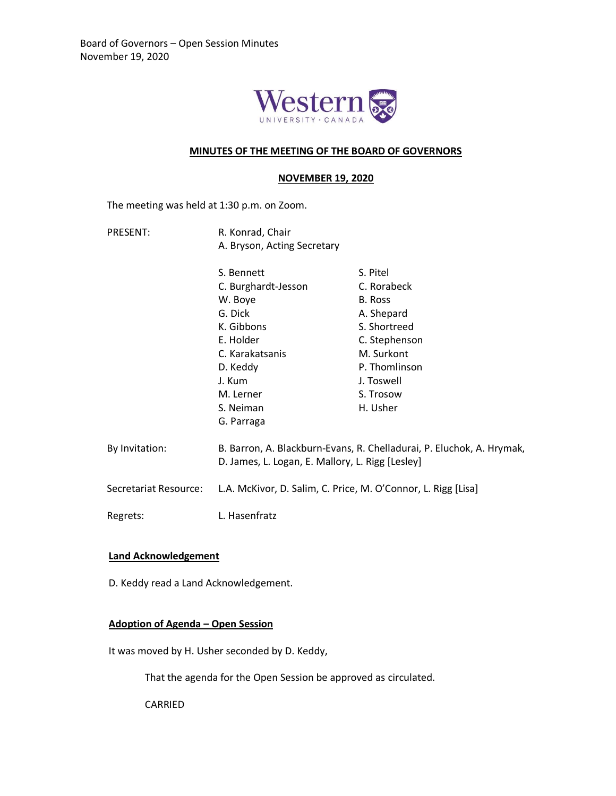

### **MINUTES OF THE MEETING OF THE BOARD OF GOVERNORS**

#### **NOVEMBER 19, 2020**

The meeting was held at 1:30 p.m. on Zoom.

PRESENT: R. Konrad, Chair A. Bryson, Acting Secretary

|                       | S. Bennett                                                                                                                | S. Pitel      |
|-----------------------|---------------------------------------------------------------------------------------------------------------------------|---------------|
|                       | C. Burghardt-Jesson                                                                                                       | C. Rorabeck   |
|                       | W. Boye                                                                                                                   | B. Ross       |
|                       | G. Dick                                                                                                                   | A. Shepard    |
|                       | K. Gibbons                                                                                                                | S. Shortreed  |
|                       | E. Holder                                                                                                                 | C. Stephenson |
|                       | C. Karakatsanis                                                                                                           | M. Surkont    |
|                       | D. Keddy                                                                                                                  | P. Thomlinson |
|                       | J. Kum                                                                                                                    | J. Toswell    |
|                       | M. Lerner                                                                                                                 | S. Trosow     |
|                       | S. Neiman                                                                                                                 | H. Usher      |
|                       | G. Parraga                                                                                                                |               |
|                       |                                                                                                                           |               |
| By Invitation:        | B. Barron, A. Blackburn-Evans, R. Chelladurai, P. Eluchok, A. Hrymak,<br>D. James, L. Logan, E. Mallory, L. Rigg [Lesley] |               |
|                       |                                                                                                                           |               |
|                       | L.A. McKivor, D. Salim, C. Price, M. O'Connor, L. Rigg [Lisa]                                                             |               |
| Secretariat Resource: |                                                                                                                           |               |
|                       |                                                                                                                           |               |
| Regrets:              | L. Hasenfratz                                                                                                             |               |

#### **Land Acknowledgement**

D. Keddy read a Land Acknowledgement.

## **Adoption of Agenda – Open Session**

It was moved by H. Usher seconded by D. Keddy,

That the agenda for the Open Session be approved as circulated.

CARRIED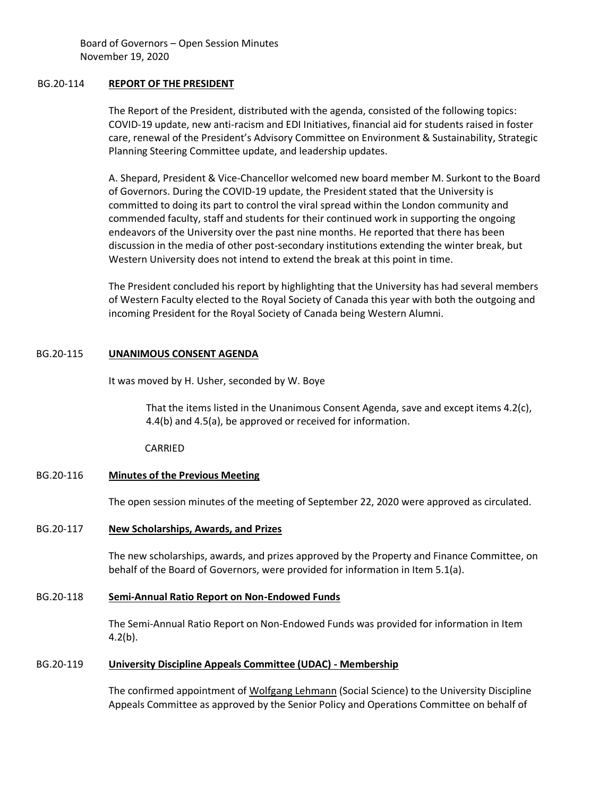#### BG.20-114 **REPORT OF THE PRESIDENT**

The Report of the President, distributed with the agenda, consisted of the following topics: COVID-19 update, new anti-racism and EDI Initiatives, financial aid for students raised in foster care, renewal of the President's Advisory Committee on Environment & Sustainability, Strategic Planning Steering Committee update, and leadership updates.

A. Shepard, President & Vice-Chancellor welcomed new board member M. Surkont to the Board of Governors. During the COVID-19 update, the President stated that the University is committed to doing its part to control the viral spread within the London community and commended faculty, staff and students for their continued work in supporting the ongoing endeavors of the University over the past nine months. He reported that there has been discussion in the media of other post-secondary institutions extending the winter break, but Western University does not intend to extend the break at this point in time.

The President concluded his report by highlighting that the University has had several members of Western Faculty elected to the Royal Society of Canada this year with both the outgoing and incoming President for the Royal Society of Canada being Western Alumni.

## BG.20-115 **UNANIMOUS CONSENT AGENDA**

It was moved by H. Usher, seconded by W. Boye

That the items listed in the Unanimous Consent Agenda, save and except items 4.2(c), 4.4(b) and 4.5(a), be approved or received for information.

CARRIED

#### BG.20-116 **Minutes of the Previous Meeting**

The open session minutes of the meeting of September 22, 2020 were approved as circulated.

#### BG.20-117 **New Scholarships, Awards, and Prizes**

The new scholarships, awards, and prizes approved by the Property and Finance Committee, on behalf of the Board of Governors, were provided for information in Item 5.1(a).

#### BG.20-118 **Semi-Annual Ratio Report on Non-Endowed Funds**

The Semi-Annual Ratio Report on Non-Endowed Funds was provided for information in Item 4.2(b).

#### BG.20-119 **University Discipline Appeals Committee (UDAC) - Membership**

The confirmed appointment of Wolfgang Lehmann (Social Science) to the University Discipline Appeals Committee as approved by the Senior Policy and Operations Committee on behalf of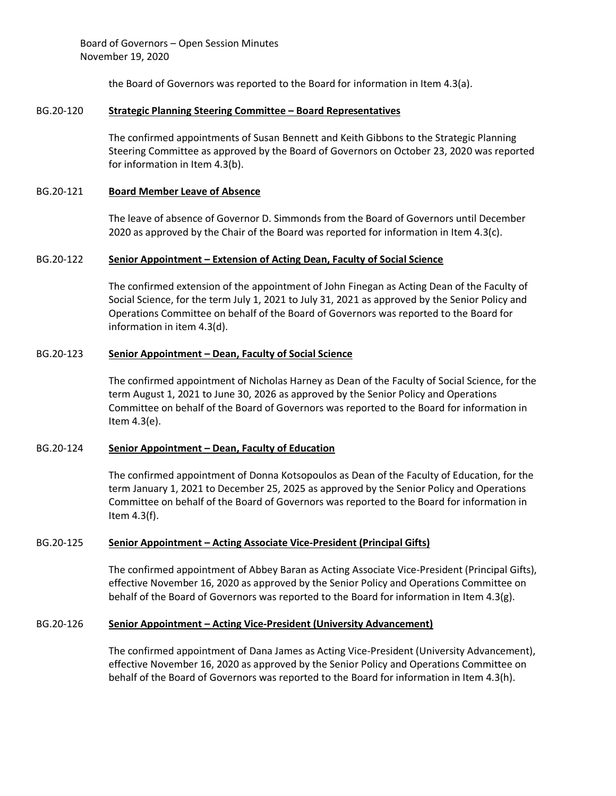the Board of Governors was reported to the Board for information in Item 4.3(a).

### BG.20-120 **Strategic Planning Steering Committee – Board Representatives**

The confirmed appointments of Susan Bennett and Keith Gibbons to the Strategic Planning Steering Committee as approved by the Board of Governors on October 23, 2020 was reported for information in Item 4.3(b).

## BG.20-121 **Board Member Leave of Absence**

The leave of absence of Governor D. Simmonds from the Board of Governors until December 2020 as approved by the Chair of the Board was reported for information in Item 4.3(c).

## BG.20-122 **Senior Appointment – Extension of Acting Dean, Faculty of Social Science**

The confirmed extension of the appointment of John Finegan as Acting Dean of the Faculty of Social Science, for the term July 1, 2021 to July 31, 2021 as approved by the Senior Policy and Operations Committee on behalf of the Board of Governors was reported to the Board for information in item 4.3(d).

## BG.20-123 **Senior Appointment – Dean, Faculty of Social Science**

The confirmed appointment of Nicholas Harney as Dean of the Faculty of Social Science, for the term August 1, 2021 to June 30, 2026 as approved by the Senior Policy and Operations Committee on behalf of the Board of Governors was reported to the Board for information in Item 4.3(e).

#### BG.20-124 **Senior Appointment – Dean, Faculty of Education**

The confirmed appointment of Donna Kotsopoulos as Dean of the Faculty of Education, for the term January 1, 2021 to December 25, 2025 as approved by the Senior Policy and Operations Committee on behalf of the Board of Governors was reported to the Board for information in Item 4.3(f).

#### BG.20-125 **Senior Appointment – Acting Associate Vice-President (Principal Gifts)**

The confirmed appointment of Abbey Baran as Acting Associate Vice-President (Principal Gifts), effective November 16, 2020 as approved by the Senior Policy and Operations Committee on behalf of the Board of Governors was reported to the Board for information in Item 4.3(g).

#### BG.20-126 **Senior Appointment – Acting Vice-President (University Advancement)**

The confirmed appointment of Dana James as Acting Vice-President (University Advancement), effective November 16, 2020 as approved by the Senior Policy and Operations Committee on behalf of the Board of Governors was reported to the Board for information in Item 4.3(h).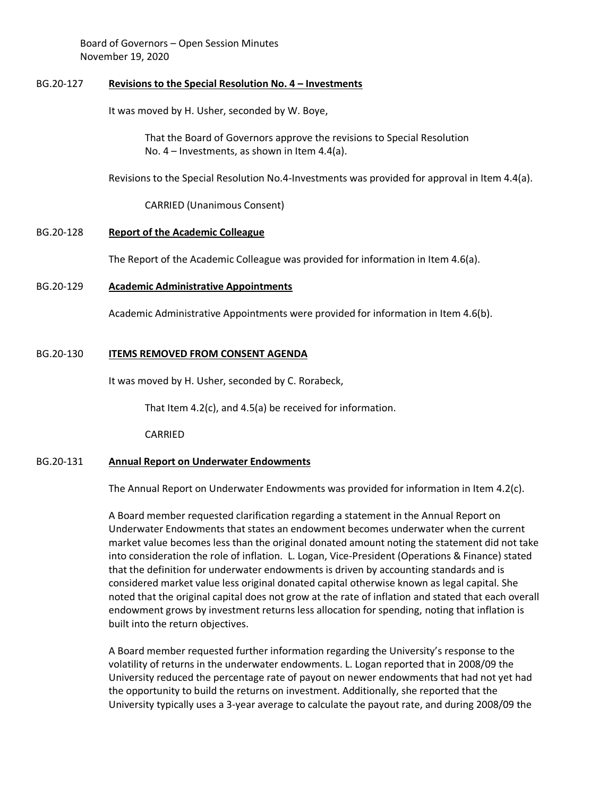## BG.20-127 **Revisions to the Special Resolution No. 4 – Investments**

It was moved by H. Usher, seconded by W. Boye,

That the Board of Governors approve the revisions to Special Resolution No. 4 – Investments, as shown in Item 4.4(a).

Revisions to the Special Resolution No.4-Investments was provided for approval in Item 4.4(a).

CARRIED (Unanimous Consent)

#### BG.20-128 **Report of the Academic Colleague**

The Report of the Academic Colleague was provided for information in Item 4.6(a).

#### BG.20-129 **Academic Administrative Appointments**

Academic Administrative Appointments were provided for information in Item 4.6(b).

## BG.20-130 **ITEMS REMOVED FROM CONSENT AGENDA**

It was moved by H. Usher, seconded by C. Rorabeck,

That Item 4.2(c), and 4.5(a) be received for information.

CARRIED

#### BG.20-131 **Annual Report on Underwater Endowments**

The Annual Report on Underwater Endowments was provided for information in Item 4.2(c).

A Board member requested clarification regarding a statement in the Annual Report on Underwater Endowments that states an endowment becomes underwater when the current market value becomes less than the original donated amount noting the statement did not take into consideration the role of inflation. L. Logan, Vice-President (Operations & Finance) stated that the definition for underwater endowments is driven by accounting standards and is considered market value less original donated capital otherwise known as legal capital. She noted that the original capital does not grow at the rate of inflation and stated that each overall endowment grows by investment returns less allocation for spending, noting that inflation is built into the return objectives.

A Board member requested further information regarding the University's response to the volatility of returns in the underwater endowments. L. Logan reported that in 2008/09 the University reduced the percentage rate of payout on newer endowments that had not yet had the opportunity to build the returns on investment. Additionally, she reported that the University typically uses a 3-year average to calculate the payout rate, and during 2008/09 the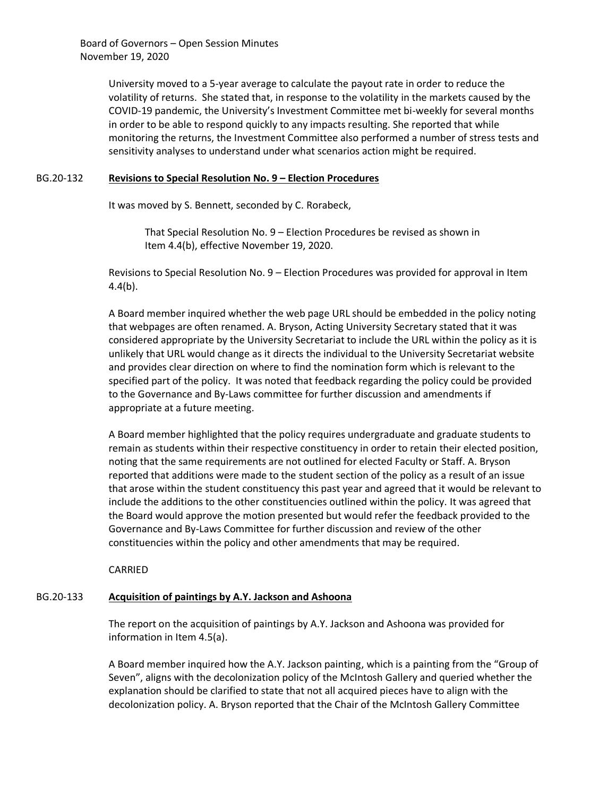> University moved to a 5-year average to calculate the payout rate in order to reduce the volatility of returns. She stated that, in response to the volatility in the markets caused by the COVID-19 pandemic, the University's Investment Committee met bi-weekly for several months in order to be able to respond quickly to any impacts resulting. She reported that while monitoring the returns, the Investment Committee also performed a number of stress tests and sensitivity analyses to understand under what scenarios action might be required.

#### BG.20-132 **Revisions to Special Resolution No. 9 – Election Procedures**

It was moved by S. Bennett, seconded by C. Rorabeck,

That Special Resolution No. 9 – Election Procedures be revised as shown in Item 4.4(b), effective November 19, 2020.

Revisions to Special Resolution No. 9 – Election Procedures was provided for approval in Item 4.4(b).

A Board member inquired whether the web page URL should be embedded in the policy noting that webpages are often renamed. A. Bryson, Acting University Secretary stated that it was considered appropriate by the University Secretariat to include the URL within the policy as it is unlikely that URL would change as it directs the individual to the University Secretariat website and provides clear direction on where to find the nomination form which is relevant to the specified part of the policy. It was noted that feedback regarding the policy could be provided to the Governance and By-Laws committee for further discussion and amendments if appropriate at a future meeting.

A Board member highlighted that the policy requires undergraduate and graduate students to remain as students within their respective constituency in order to retain their elected position, noting that the same requirements are not outlined for elected Faculty or Staff. A. Bryson reported that additions were made to the student section of the policy as a result of an issue that arose within the student constituency this past year and agreed that it would be relevant to include the additions to the other constituencies outlined within the policy. It was agreed that the Board would approve the motion presented but would refer the feedback provided to the Governance and By-Laws Committee for further discussion and review of the other constituencies within the policy and other amendments that may be required.

CARRIED

#### BG.20-133 **Acquisition of paintings by A.Y. Jackson and Ashoona**

The report on the acquisition of paintings by A.Y. Jackson and Ashoona was provided for information in Item 4.5(a).

A Board member inquired how the A.Y. Jackson painting, which is a painting from the "Group of Seven", aligns with the decolonization policy of the McIntosh Gallery and queried whether the explanation should be clarified to state that not all acquired pieces have to align with the decolonization policy. A. Bryson reported that the Chair of the McIntosh Gallery Committee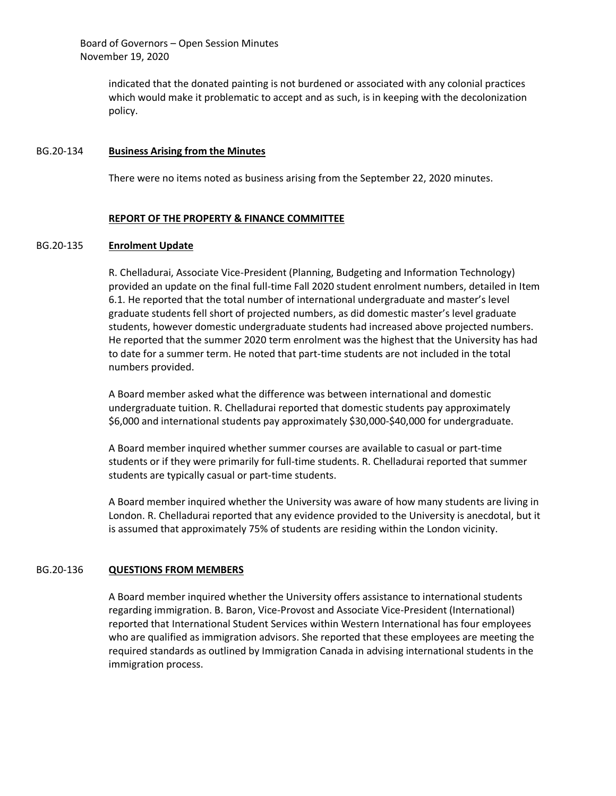> indicated that the donated painting is not burdened or associated with any colonial practices which would make it problematic to accept and as such, is in keeping with the decolonization policy.

#### BG.20-134 **Business Arising from the Minutes**

There were no items noted as business arising from the September 22, 2020 minutes.

## **REPORT OF THE PROPERTY & FINANCE COMMITTEE**

#### BG.20-135 **Enrolment Update**

R. Chelladurai, Associate Vice-President (Planning, Budgeting and Information Technology) provided an update on the final full-time Fall 2020 student enrolment numbers, detailed in Item 6.1. He reported that the total number of international undergraduate and master's level graduate students fell short of projected numbers, as did domestic master's level graduate students, however domestic undergraduate students had increased above projected numbers. He reported that the summer 2020 term enrolment was the highest that the University has had to date for a summer term. He noted that part-time students are not included in the total numbers provided.

A Board member asked what the difference was between international and domestic undergraduate tuition. R. Chelladurai reported that domestic students pay approximately \$6,000 and international students pay approximately \$30,000-\$40,000 for undergraduate.

A Board member inquired whether summer courses are available to casual or part-time students or if they were primarily for full-time students. R. Chelladurai reported that summer students are typically casual or part-time students.

A Board member inquired whether the University was aware of how many students are living in London. R. Chelladurai reported that any evidence provided to the University is anecdotal, but it is assumed that approximately 75% of students are residing within the London vicinity.

#### BG.20-136 **QUESTIONS FROM MEMBERS**

A Board member inquired whether the University offers assistance to international students regarding immigration. B. Baron, Vice-Provost and Associate Vice-President (International) reported that International Student Services within Western International has four employees who are qualified as immigration advisors. She reported that these employees are meeting the required standards as outlined by Immigration Canada in advising international students in the immigration process.